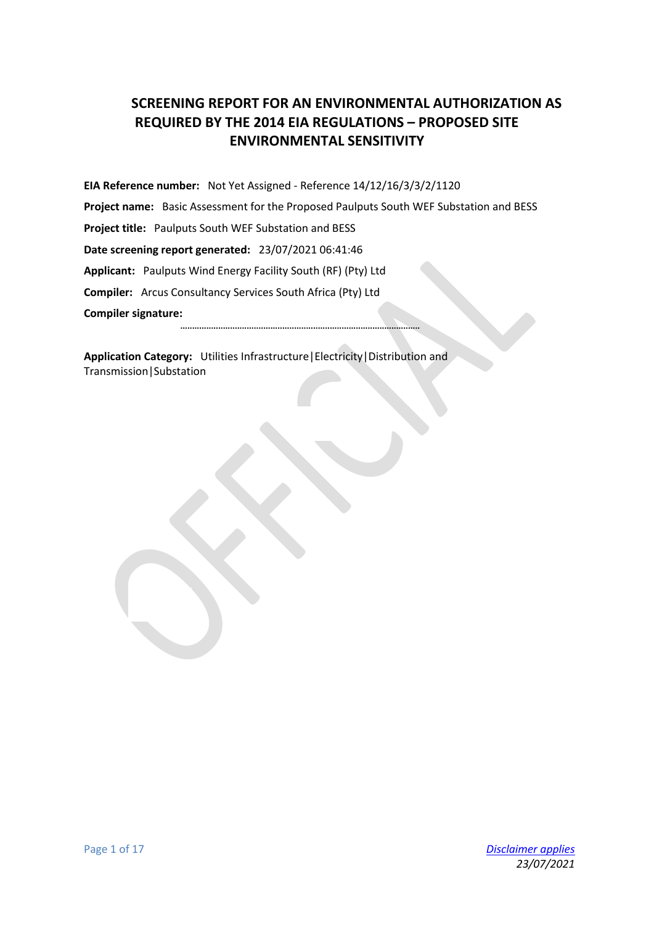# **SCREENING REPORT FOR AN ENVIRONMENTAL AUTHORIZATION AS REQUIRED BY THE 2014 EIA REGULATIONS – PROPOSED SITE ENVIRONMENTAL SENSITIVITY**

**EIA Reference number:** Not Yet Assigned - Reference 14/12/16/3/3/2/1120 **Project name:** Basic Assessment for the Proposed Paulputs South WEF Substation and BESS **Project title:** Paulputs South WEF Substation and BESS **Date screening report generated:** 23/07/2021 06:41:46 **Applicant:** Paulputs Wind Energy Facility South (RF) (Pty) Ltd **Compiler:** Arcus Consultancy Services South Africa (Pty) Ltd **Compiler signature:**

**.....................................................................................................**

**Application Category:** Utilities Infrastructure|Electricity|Distribution and Transmission|Substation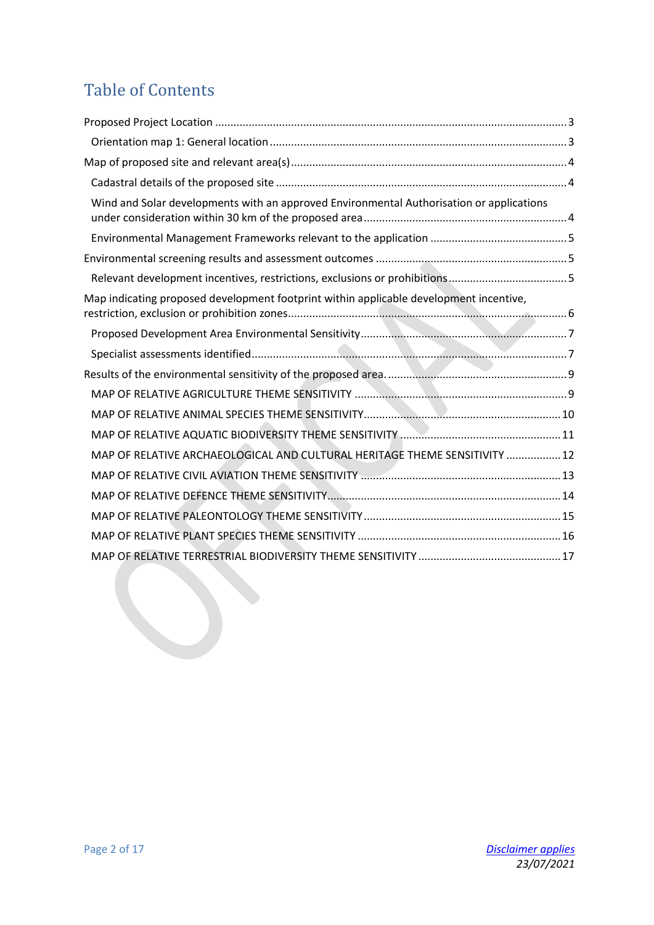# Table of Contents

| Wind and Solar developments with an approved Environmental Authorisation or applications |  |
|------------------------------------------------------------------------------------------|--|
|                                                                                          |  |
|                                                                                          |  |
|                                                                                          |  |
| Map indicating proposed development footprint within applicable development incentive,   |  |
|                                                                                          |  |
|                                                                                          |  |
|                                                                                          |  |
|                                                                                          |  |
|                                                                                          |  |
|                                                                                          |  |
| MAP OF RELATIVE ARCHAEOLOGICAL AND CULTURAL HERITAGE THEME SENSITIVITY  12               |  |
|                                                                                          |  |
|                                                                                          |  |
|                                                                                          |  |
|                                                                                          |  |
|                                                                                          |  |
|                                                                                          |  |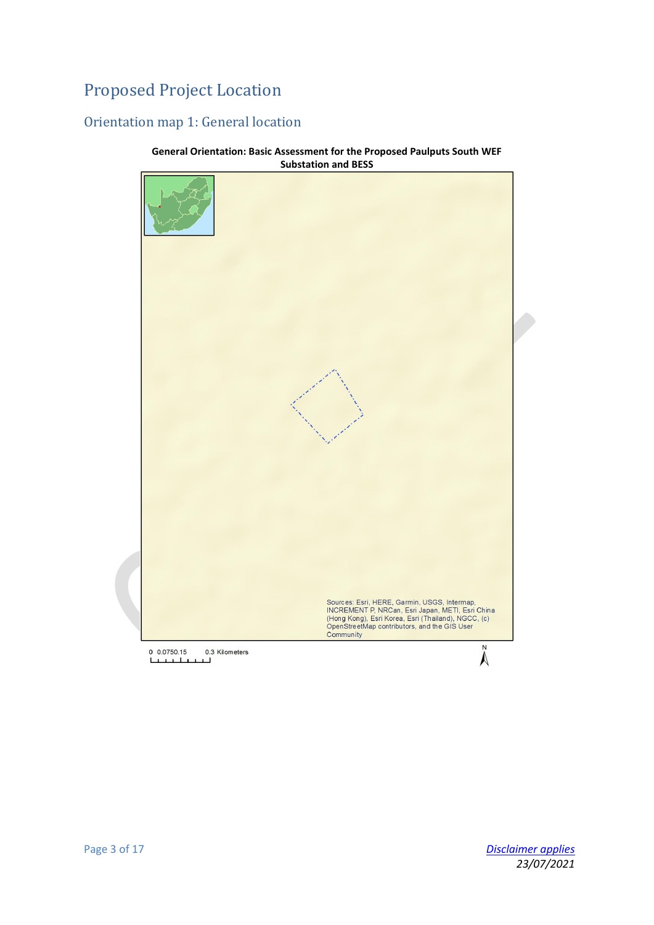# <span id="page-2-0"></span>Proposed Project Location

# <span id="page-2-1"></span>Orientation map 1: General location



**General Orientation: Basic Assessment for the Proposed Paulputs South WEF Substation and BESS**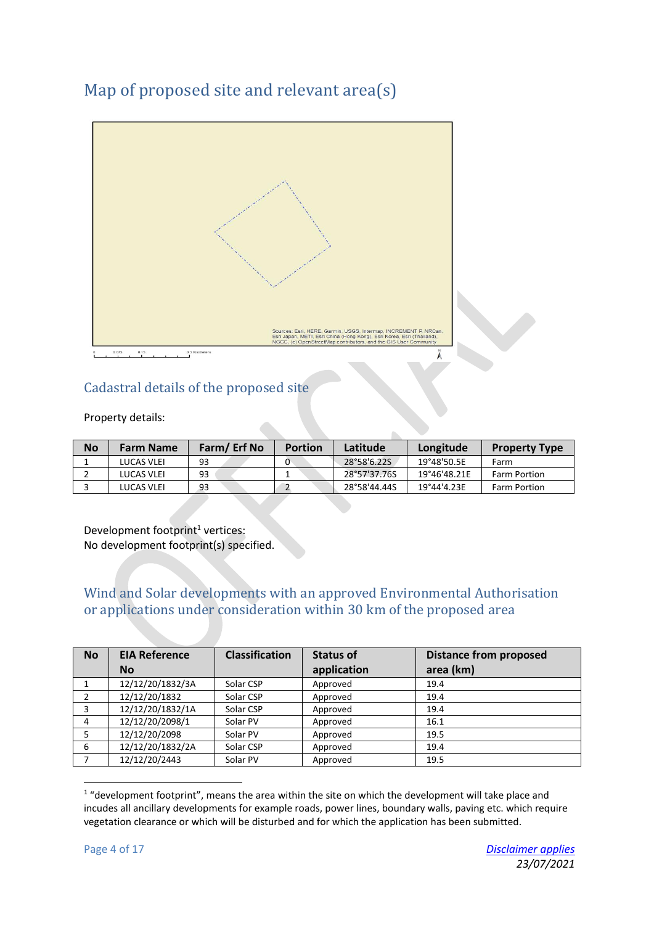# <span id="page-3-0"></span>Map of proposed site and relevant area(s)



# <span id="page-3-1"></span>Cadastral details of the proposed site

#### Property details:

| <b>No</b> | <b>Farm Name</b> | Farm/Erf No | <b>Portion</b> | Latitude     | Longitude    | <b>Property Type</b> |
|-----------|------------------|-------------|----------------|--------------|--------------|----------------------|
|           | LUCAS VLEI       | 93          | 0              | 28°58'6.22S  | 19°48'50.5E  | Farm                 |
|           | LUCAS VLEI       | 93          |                | 28°57'37.76S | 19°46'48.21E | Farm Portion         |
|           | LUCAS VLEI       | 93          |                | 28°58'44.44S | 19°44'4.23E  | Farm Portion         |

Development footprint<sup>1</sup> vertices: No development footprint(s) specified.

#### <span id="page-3-2"></span>Wind and Solar developments with an approved Environmental Authorisation or applications under consideration within 30 km of the proposed area

| <b>No</b> | <b>EIA Reference</b> | <b>Classification</b> | <b>Status of</b> | <b>Distance from proposed</b> |
|-----------|----------------------|-----------------------|------------------|-------------------------------|
|           | <b>No</b>            |                       | application      | area (km)                     |
|           | 12/12/20/1832/3A     | Solar CSP             | Approved         | 19.4                          |
|           | 12/12/20/1832        | Solar CSP             | Approved         | 19.4                          |
| 3         | 12/12/20/1832/1A     | Solar CSP             | Approved         | 19.4                          |
| 4         | 12/12/20/2098/1      | Solar PV              | Approved         | 16.1                          |
| 5         | 12/12/20/2098        | Solar PV              | Approved         | 19.5                          |
| 6         | 12/12/20/1832/2A     | Solar CSP             | Approved         | 19.4                          |
|           | 12/12/20/2443        | Solar PV              | Approved         | 19.5                          |

 $\overline{a}$ 1 "development footprint", means the area within the site on which the development will take place and incudes all ancillary developments for example roads, power lines, boundary walls, paving etc. which require vegetation clearance or which will be disturbed and for which the application has been submitted.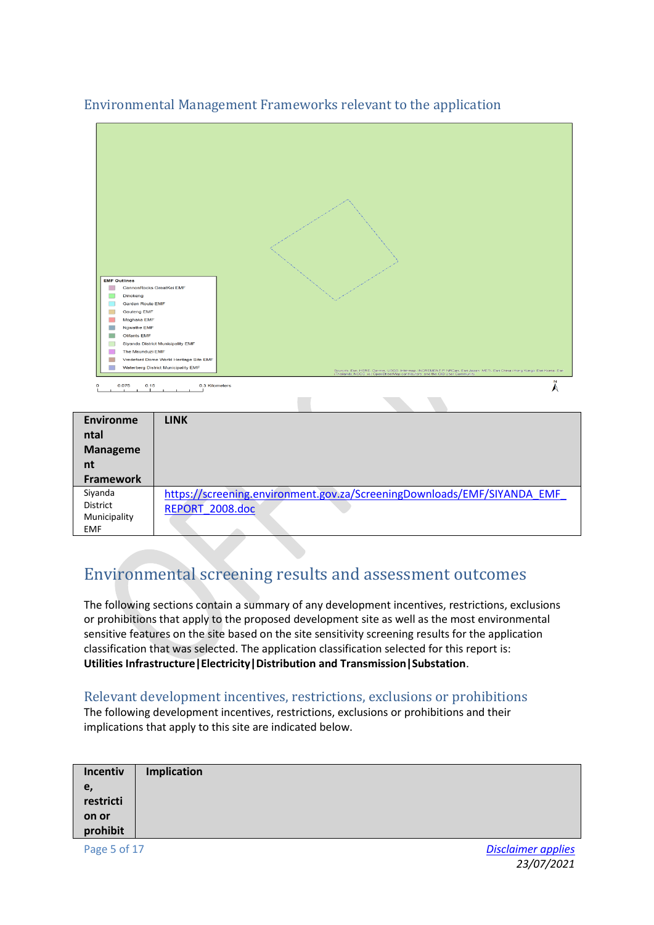

#### <span id="page-4-0"></span>Environmental Management Frameworks relevant to the application

# <span id="page-4-1"></span>Environmental screening results and assessment outcomes

The following sections contain a summary of any development incentives, restrictions, exclusions or prohibitions that apply to the proposed development site as well as the most environmental sensitive features on the site based on the site sensitivity screening results for the application classification that was selected. The application classification selected for this report is: **Utilities Infrastructure|Electricity|Distribution and Transmission|Substation**.

#### <span id="page-4-2"></span>Relevant development incentives, restrictions, exclusions or prohibitions

The following development incentives, restrictions, exclusions or prohibitions and their implications that apply to this site are indicated below.

| Incentiv          | <b>Implication</b> |
|-------------------|--------------------|
|                   |                    |
| e,<br>restricti   |                    |
|                   |                    |
| on or<br>prohibit |                    |

Municipality EMF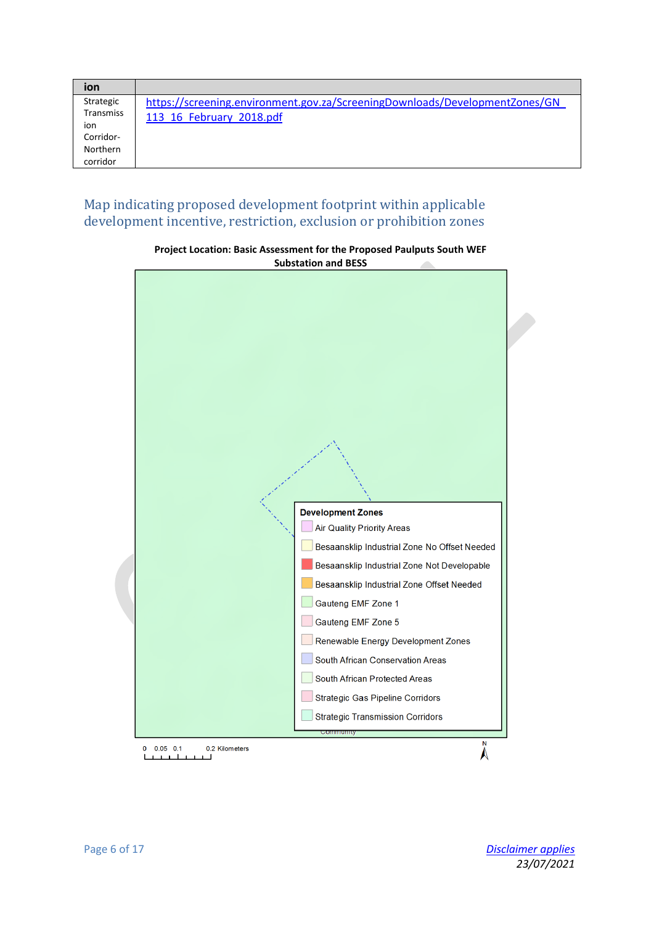| ion              |                                                                             |
|------------------|-----------------------------------------------------------------------------|
| Strategic        | https://screening.environment.gov.za/ScreeningDownloads/DevelopmentZones/GN |
| <b>Transmiss</b> | 113 16 February 2018.pdf                                                    |
| ion              |                                                                             |
| Corridor-        |                                                                             |
| Northern         |                                                                             |
| corridor         |                                                                             |

#### <span id="page-5-0"></span>Map indicating proposed development footprint within applicable development incentive, restriction, exclusion or prohibition zones



**Project Location: Basic Assessment for the Proposed Paulputs South WEF Substation and BESS**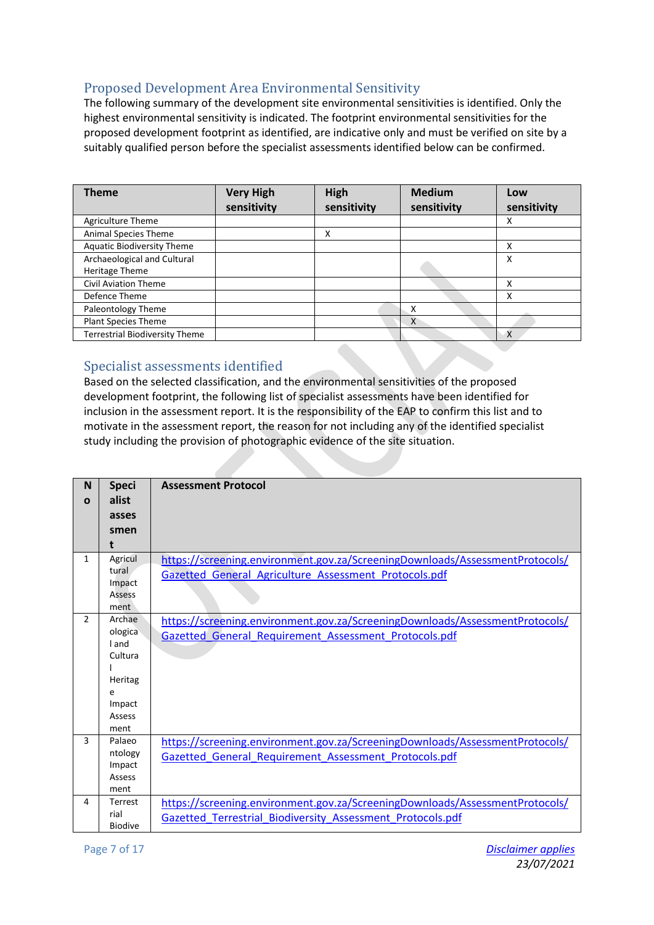## <span id="page-6-0"></span>Proposed Development Area Environmental Sensitivity

The following summary of the development site environmental sensitivities is identified. Only the highest environmental sensitivity is indicated. The footprint environmental sensitivities for the proposed development footprint as identified, are indicative only and must be verified on site by a suitably qualified person before the specialist assessments identified below can be confirmed.

| <b>Theme</b>                          | <b>Very High</b><br>sensitivity | High<br>sensitivity | <b>Medium</b><br>sensitivity | Low<br>sensitivity |
|---------------------------------------|---------------------------------|---------------------|------------------------------|--------------------|
| Agriculture Theme                     |                                 |                     |                              | х                  |
| Animal Species Theme                  |                                 | x                   |                              |                    |
| <b>Aquatic Biodiversity Theme</b>     |                                 |                     |                              | х                  |
| Archaeological and Cultural           |                                 |                     |                              | Χ                  |
| Heritage Theme                        |                                 |                     |                              |                    |
| <b>Civil Aviation Theme</b>           |                                 |                     |                              | Χ                  |
| Defence Theme                         |                                 |                     |                              | х                  |
| Paleontology Theme                    |                                 |                     | х                            |                    |
| <b>Plant Species Theme</b>            |                                 |                     | X                            |                    |
| <b>Terrestrial Biodiversity Theme</b> |                                 |                     |                              | X                  |

#### <span id="page-6-1"></span>Specialist assessments identified

Based on the selected classification, and the environmental sensitivities of the proposed development footprint, the following list of specialist assessments have been identified for inclusion in the assessment report. It is the responsibility of the EAP to confirm this list and to motivate in the assessment report, the reason for not including any of the identified specialist study including the provision of photographic evidence of the site situation.

| N             | <b>Speci</b>   | <b>Assessment Protocol</b>                                                   |
|---------------|----------------|------------------------------------------------------------------------------|
| $\mathbf{o}$  | alist          |                                                                              |
|               | asses          |                                                                              |
|               | smen           |                                                                              |
|               | t              |                                                                              |
| $\mathbf{1}$  | Agricul        | https://screening.environment.gov.za/ScreeningDownloads/AssessmentProtocols/ |
|               | tural          |                                                                              |
|               | Impact         | Gazetted General Agriculture Assessment Protocols.pdf                        |
|               | <b>Assess</b>  |                                                                              |
|               | ment           |                                                                              |
| $\mathcal{P}$ | Archae         |                                                                              |
|               |                | https://screening.environment.gov.za/ScreeningDownloads/AssessmentProtocols/ |
|               | ologica        | Gazetted General Requirement Assessment Protocols.pdf                        |
|               | I and          |                                                                              |
|               | Cultura        |                                                                              |
|               |                |                                                                              |
|               | Heritag        |                                                                              |
|               | e              |                                                                              |
|               | Impact         |                                                                              |
|               | Assess         |                                                                              |
|               | ment           |                                                                              |
| 3             | Palaeo         | https://screening.environment.gov.za/ScreeningDownloads/AssessmentProtocols/ |
|               | ntology        | Gazetted General Requirement Assessment Protocols.pdf                        |
|               | Impact         |                                                                              |
|               | <b>Assess</b>  |                                                                              |
|               | ment           |                                                                              |
| 4             | Terrest        | https://screening.environment.gov.za/ScreeningDownloads/AssessmentProtocols/ |
|               | rial           | Gazetted Terrestrial Biodiversity Assessment Protocols.pdf                   |
|               | <b>Biodive</b> |                                                                              |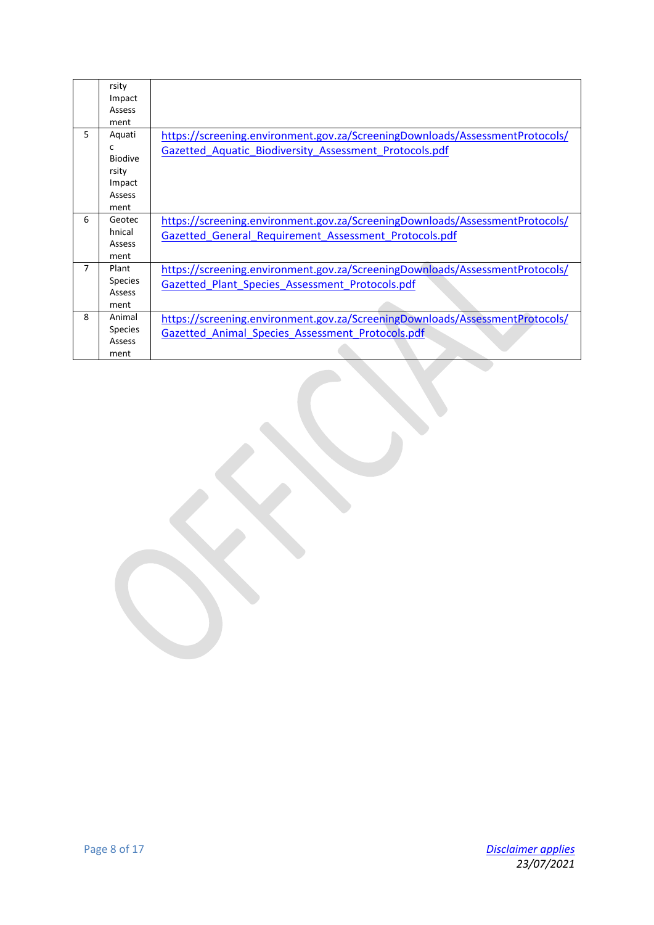|    | rsity          |                                                                              |
|----|----------------|------------------------------------------------------------------------------|
|    | Impact         |                                                                              |
|    | Assess         |                                                                              |
|    | ment           |                                                                              |
| 5. | Aquati         | https://screening.environment.gov.za/ScreeningDownloads/AssessmentProtocols/ |
|    | C              | Gazetted Aquatic Biodiversity Assessment Protocols.pdf                       |
|    | <b>Biodive</b> |                                                                              |
|    | rsity          |                                                                              |
|    | Impact         |                                                                              |
|    | Assess         |                                                                              |
|    | ment           |                                                                              |
| 6  | Geotec         | https://screening.environment.gov.za/ScreeningDownloads/AssessmentProtocols/ |
|    | hnical         | Gazetted General Requirement Assessment Protocols.pdf                        |
|    | Assess         |                                                                              |
|    | ment           |                                                                              |
| 7  | Plant          | https://screening.environment.gov.za/ScreeningDownloads/AssessmentProtocols/ |
|    | <b>Species</b> | Gazetted Plant Species Assessment Protocols.pdf                              |
|    | <b>Assess</b>  |                                                                              |
|    | ment           |                                                                              |
| 8  | Animal         | https://screening.environment.gov.za/ScreeningDownloads/AssessmentProtocols/ |
|    | <b>Species</b> | Gazetted Animal Species Assessment Protocols.pdf                             |
|    | <b>Assess</b>  |                                                                              |
|    | ment           |                                                                              |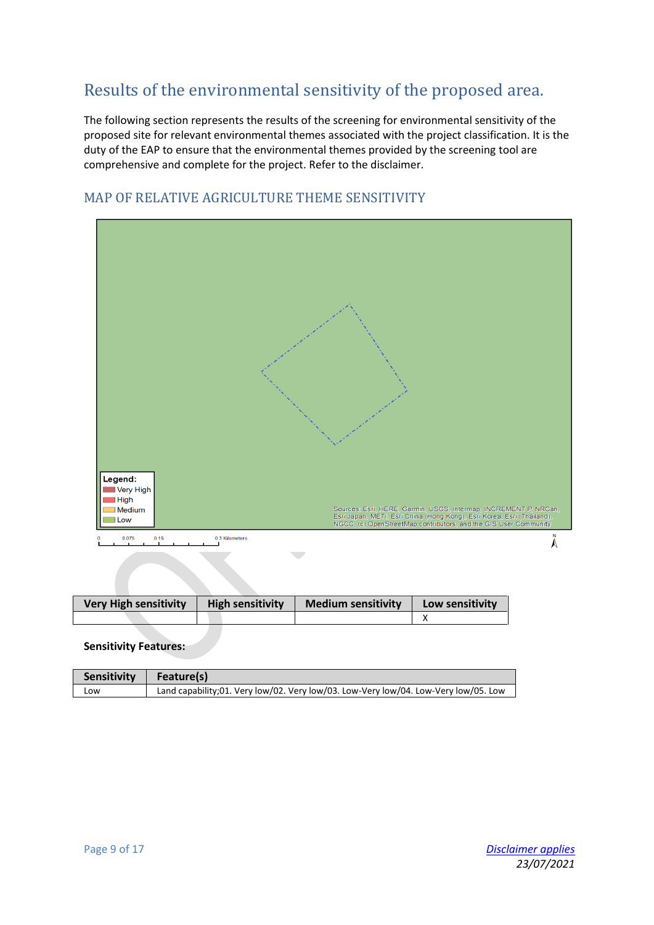# <span id="page-8-0"></span>Results of the environmental sensitivity of the proposed area.

The following section represents the results of the screening for environmental sensitivity of the proposed site for relevant environmental themes associated with the project classification. It is the duty of the EAP to ensure that the environmental themes provided by the screening tool are comprehensive and complete for the project. Refer to the disclaimer.



#### <span id="page-8-1"></span>MAP OF RELATIVE AGRICULTURE THEME SENSITIVITY

 $0.075$  $0.15$ 0.3 Kilometers

| <b>Very High sensitivity</b> | <b>High sensitivity</b> | <b>Medium sensitivity</b> | Low sensitivity |
|------------------------------|-------------------------|---------------------------|-----------------|
|                              |                         |                           |                 |

 $\mathcal{L}$ 

| <b>Sensitivity</b> | $\blacksquare$ Feature(s)                                                            |
|--------------------|--------------------------------------------------------------------------------------|
| LOW                | Land capability; 01. Very low/02. Very low/03. Low-Very low/04. Low-Very low/05. Low |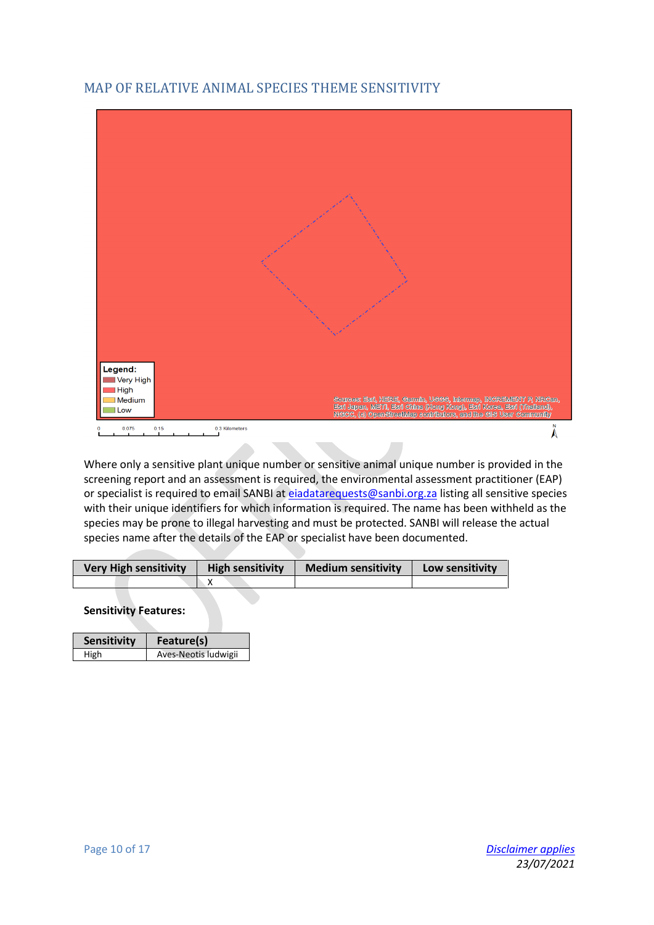### <span id="page-9-0"></span>MAP OF RELATIVE ANIMAL SPECIES THEME SENSITIVITY



Where only a sensitive plant unique number or sensitive animal unique number is provided in the screening report and an assessment is required, the environmental assessment practitioner (EAP) or specialist is required to email SANBI a[t eiadatarequests@sanbi.org.za](mailto:eiadatarequests@sanbi.org.za) listing all sensitive species with their unique identifiers for which information is required. The name has been withheld as the species may be prone to illegal harvesting and must be protected. SANBI will release the actual species name after the details of the EAP or specialist have been documented.

| <b>Very High sensitivity</b> | <b>High sensitivity</b> | <b>Medium sensitivity</b> | Low sensitivity |
|------------------------------|-------------------------|---------------------------|-----------------|
|                              |                         |                           |                 |

| <b>Sensitivity</b> | Feature(s)           |
|--------------------|----------------------|
| High               | Aves-Neotis ludwigii |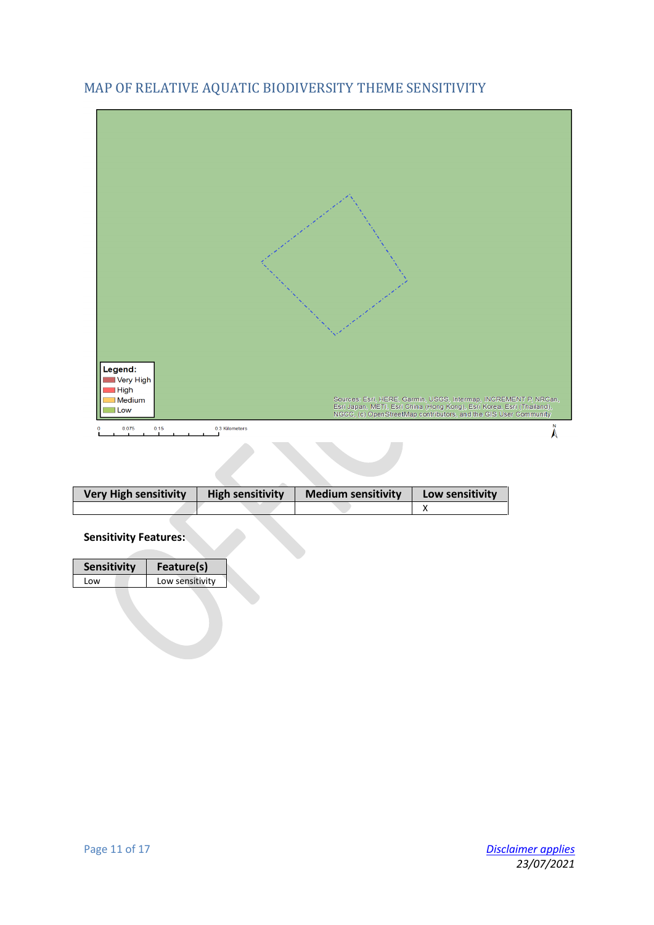

# <span id="page-10-0"></span>MAP OF RELATIVE AQUATIC BIODIVERSITY THEME SENSITIVITY

| <b>Very High sensitivity</b> | <b>High sensitivity</b> | <b>Medium sensitivity</b> | Low sensitivity |
|------------------------------|-------------------------|---------------------------|-----------------|
|                              |                         |                           |                 |

#### **Sensitivity Features:**

 $\overline{\phantom{a}}$ 

| Sensitivity | Feature(s)      |
|-------------|-----------------|
| l ow        | Low sensitivity |
|             |                 |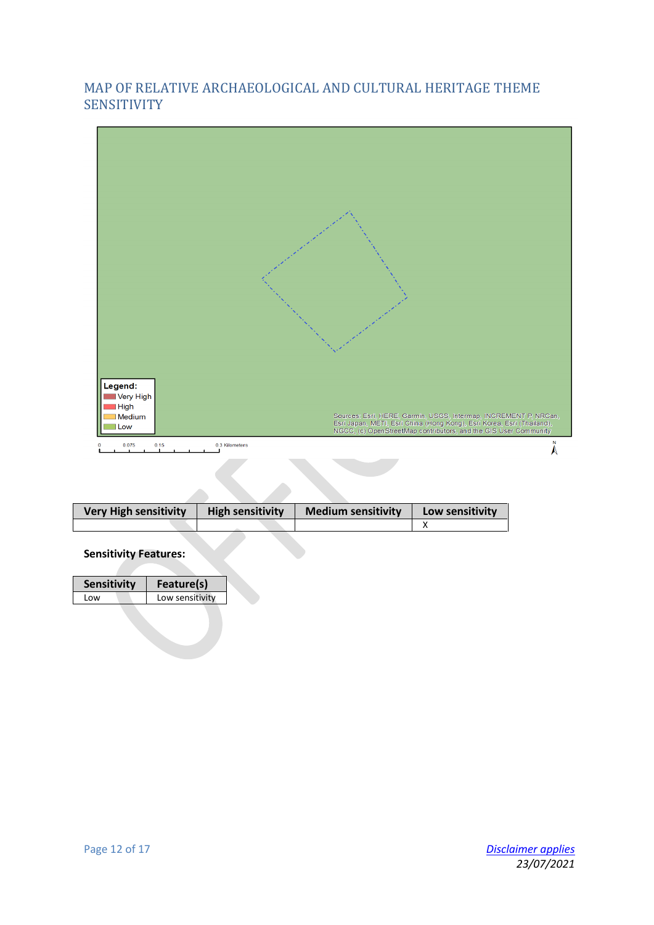### <span id="page-11-0"></span>MAP OF RELATIVE ARCHAEOLOGICAL AND CULTURAL HERITAGE THEME **SENSITIVITY**



| <b>Very High sensitivity</b> | <b>High sensitivity</b> | <b>Medium sensitivity</b> | Low sensitivity |
|------------------------------|-------------------------|---------------------------|-----------------|
|                              |                         |                           |                 |

#### **Sensitivity Features:**

|                         | Feature(s) | <b>Sensitivity</b> |
|-------------------------|------------|--------------------|
| Low sensitivity<br>l ow |            |                    |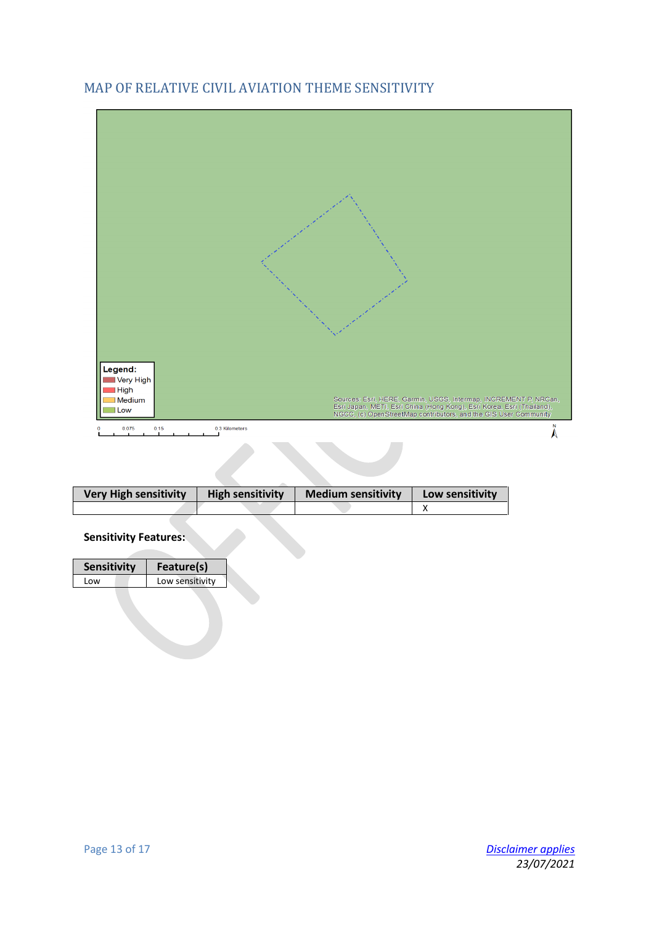

## <span id="page-12-0"></span>MAP OF RELATIVE CIVIL AVIATION THEME SENSITIVITY

| <b>Very High sensitivity</b> | <b>High sensitivity</b> | <b>Medium sensitivity</b> | Low sensitivity |
|------------------------------|-------------------------|---------------------------|-----------------|
|                              |                         |                           |                 |

#### **Sensitivity Features:**

| <b>Sensitivity</b> | Feature(s)      |
|--------------------|-----------------|
| l ow               | Low sensitivity |
|                    |                 |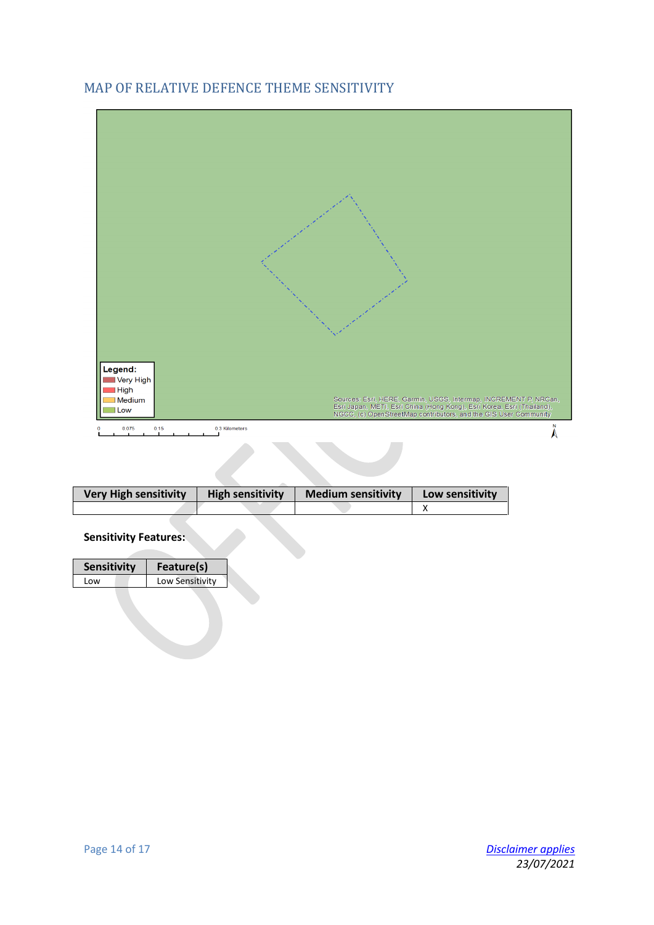## <span id="page-13-0"></span>MAP OF RELATIVE DEFENCE THEME SENSITIVITY



| <b>Very High sensitivity</b> | <b>High sensitivity</b> | <b>Medium sensitivity</b> | Low sensitivity |
|------------------------------|-------------------------|---------------------------|-----------------|
|                              |                         |                           |                 |

#### **Sensitivity Features:**

| <b>Sensitivity</b> | Feature(s)      |
|--------------------|-----------------|
| l ow               | Low Sensitivity |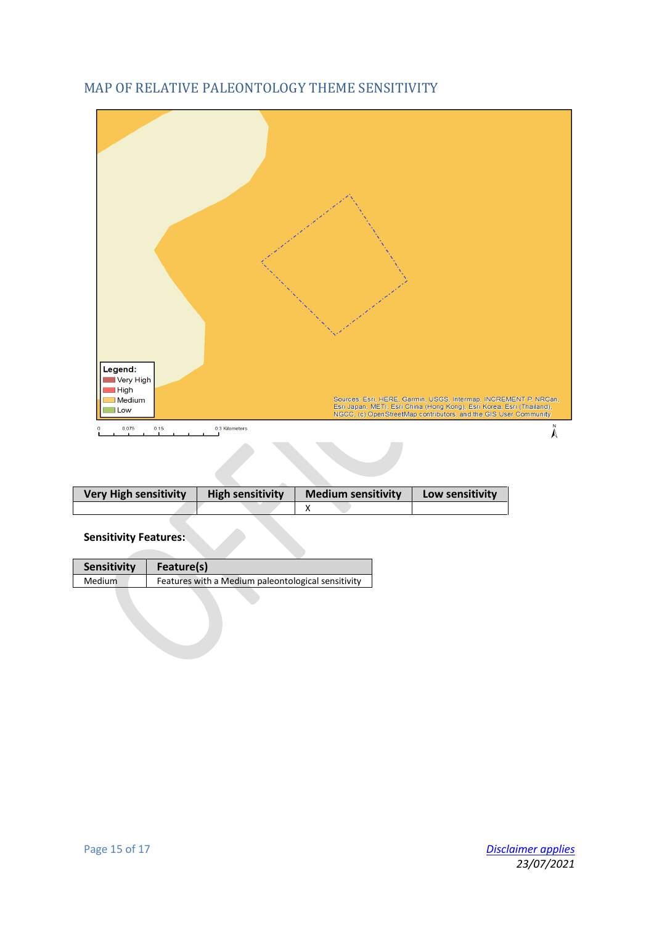

### <span id="page-14-0"></span>MAP OF RELATIVE PALEONTOLOGY THEME SENSITIVITY

| <b>Very High sensitivity</b> | <b>High sensitivity</b> | <b>Medium sensitivity</b> | Low sensitivity |
|------------------------------|-------------------------|---------------------------|-----------------|
|                              |                         |                           |                 |

| <b>Sensitivity</b> | Feature(s)                                         |
|--------------------|----------------------------------------------------|
| Medium             | Features with a Medium paleontological sensitivity |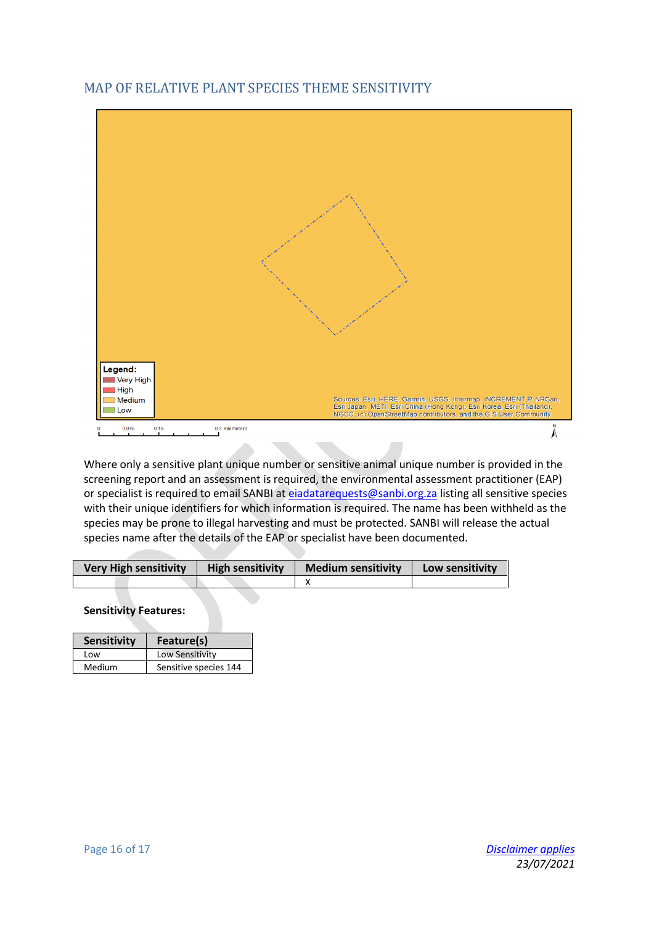# Legend: —<br>■Very High  $\blacksquare$  High Sources: Esri, HERE, Garmin, USGS, Intermap, INGREMENT P, NROan,<br>Esri Japan, METI, Esri China (Hong Kong), Esri Korea, Esri (Thailand),<br>NGCC, (c) OpenStreetMap contributors, and the GIS User Community Medium  $\blacksquare$ Low 0.3 Kilometers  $0.075$  $0.15$  $\ddot{\lambda}$

# <span id="page-15-0"></span>MAP OF RELATIVE PLANT SPECIES THEME SENSITIVITY

Where only a sensitive plant unique number or sensitive animal unique number is provided in the screening report and an assessment is required, the environmental assessment practitioner (EAP) or specialist is required to email SANBI a[t eiadatarequests@sanbi.org.za](mailto:eiadatarequests@sanbi.org.za) listing all sensitive species with their unique identifiers for which information is required. The name has been withheld as the species may be prone to illegal harvesting and must be protected. SANBI will release the actual species name after the details of the EAP or specialist have been documented.

| <b>Very High sensitivity</b> | <b>High sensitivity</b> | <b>Medium sensitivity</b> | Low sensitivity |
|------------------------------|-------------------------|---------------------------|-----------------|
|                              |                         |                           |                 |

| <b>Sensitivity</b> | Feature(s)            |
|--------------------|-----------------------|
| l ow               | Low Sensitivity       |
| Medium             | Sensitive species 144 |